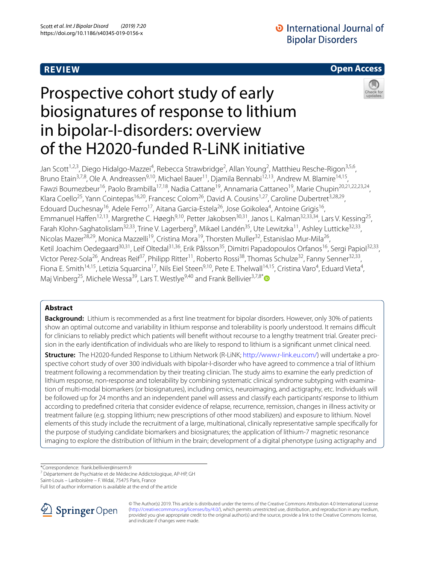# **REVIEW**

# **D** International Journal of **Bipolar Disorders**

# **Open Access**

# Prospective cohort study of early biosignatures of response to lithium in bipolar-I-disorders: overview of the H2020-funded R-LiNK initiative



Jan Scott<sup>1,2,3</sup>, Diego Hidalgo-Mazzei<sup>4</sup>, Rebecca Strawbridge<sup>2</sup>, Allan Young<sup>2</sup>, Matthieu Resche-Rigon<sup>3,5,6</sup>, Bruno Etain<sup>3,7,8</sup>, Ole A. Andreassen<sup>9,10</sup>, Michael Bauer<sup>11</sup>, Djamila Bennabi<sup>12,13</sup>, Andrew M. Blamire<sup>14,15</sup>, Fawzi Boumezbeur<sup>16</sup>, Paolo Brambilla<sup>17,18</sup>, Nadia Cattane<sup>19</sup>, Annamaria Cattaneo<sup>19</sup>, Marie Chupin<sup>20,21,22,23,24</sup>, Klara Coello<sup>25</sup>, Yann Cointepas<sup>16,20</sup>, Francesc Colom<sup>26</sup>, David A. Cousins<sup>1,27</sup>, Caroline Dubertret<sup>3,28,29</sup>, Edouard Duchesnay<sup>16</sup>, Adele Ferro<sup>17</sup>, Aitana Garcia-Estela<sup>26</sup>, Jose Goikolea<sup>4</sup>, Antoine Grigis<sup>16</sup>, Emmanuel Haffen<sup>12,13</sup>, Margrethe C. Høegh<sup>9,10</sup>, Petter Jakobsen<sup>30,31</sup>, Janos L. Kalman<sup>32,33,34</sup>, Lars V. Kessing<sup>25</sup>, Farah Klohn-Saghatolislam<sup>32,33</sup>, Trine V. Lagerberg<sup>9</sup>, Mikael Landén<sup>35</sup>, Ute Lewitzka<sup>11</sup>, Ashley Lutticke<sup>32,33</sup>, Nicolas Mazer<sup>28,29</sup>, Monica Mazzelli<sup>19</sup>, Cristina Mora<sup>19</sup>, Thorsten Muller<sup>32</sup>, Estanislao Mur-Mila<sup>26</sup>, Ketil Joachim Oedegaard<sup>30,31</sup>, Leif Oltedal<sup>31,36</sup>, Erik Pålsson<sup>35</sup>, Dimitri Papadopoulos Orfanos<sup>16</sup>, Sergi Papiol<sup>32,33</sup>, Victor Perez-Sola<sup>26</sup>, Andreas Reif<sup>37</sup>, Philipp Ritter<sup>11</sup>, Roberto Rossi<sup>38</sup>, Thomas Schulze<sup>32</sup>, Fanny Senner<sup>32,33</sup>, Fiona E. Smith<sup>14,15</sup>, Letizia Squarcina<sup>17</sup>, Nils Eiel Steen<sup>9,10</sup>, Pete E. Thelwall<sup>14,15</sup>, Cristina Varo<sup>4</sup>, Eduard Vieta<sup>4</sup>, Maj Vinberg<sup>25</sup>, Michele Wessa<sup>39</sup>, Lars T. Westlye<sup>9,40</sup> and Frank Bellivier<sup>3,7,8[\\*](http://orcid.org/0000-0002-3660-6640)</sup>

# **Abstract**

**Background:** Lithium is recommended as a frst line treatment for bipolar disorders. However, only 30% of patients show an optimal outcome and variability in lithium response and tolerability is poorly understood. It remains difficult for clinicians to reliably predict which patients will benefit without recourse to a lengthy treatment trial. Greater precision in the early identifcation of individuals who are likely to respond to lithium is a signifcant unmet clinical need.

**Structure:** The H2020-funded Response to Lithium Network (R-LiNK;<http://www.r-link.eu.com/>) will undertake a pro‑ spective cohort study of over 300 individuals with bipolar-I-disorder who have agreed to commence a trial of lithium treatment following a recommendation by their treating clinician. The study aims to examine the early prediction of lithium response, non-response and tolerability by combining systematic clinical syndrome subtyping with examination of multi-modal biomarkers (or biosignatures), including omics, neuroimaging, and actigraphy, etc. Individuals will be followed up for 24 months and an independent panel will assess and classify each participants' response to lithium according to predefned criteria that consider evidence of relapse, recurrence, remission, changes in illness activity or treatment failure (e.g. stopping lithium; new prescriptions of other mood stabilizers) and exposure to lithium. Novel elements of this study include the recruitment of a large, multinational, clinically representative sample specifcally for the purpose of studying candidate biomarkers and biosignatures; the application of lithium-7 magnetic resonance imaging to explore the distribution of lithium in the brain; development of a digital phenotype (using actigraphy and

\*Correspondence: frank.bellivier@inserm.fr

7 Département de Psychiatrie et de Médecine Addictologique, AP-HP, GH

Saint-Louis – Lariboisière – F. Widal, 75475 Paris, France

Full list of author information is available at the end of the article



© The Author(s) 2019. This article is distributed under the terms of the Creative Commons Attribution 4.0 International License [\(http://creativecommons.org/licenses/by/4.0/\)](http://creativecommons.org/licenses/by/4.0/), which permits unrestricted use, distribution, and reproduction in any medium, provided you give appropriate credit to the original author(s) and the source, provide a link to the Creative Commons license, and indicate if changes were made.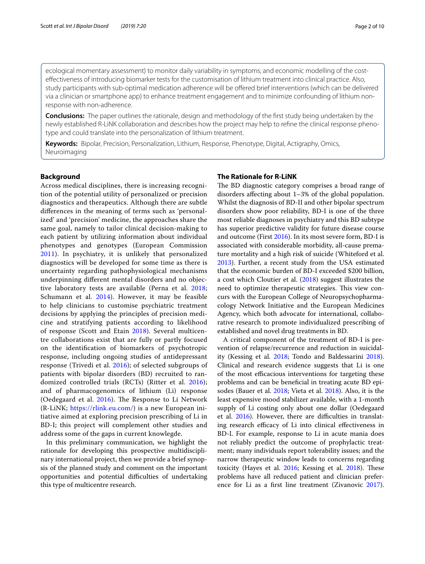ecological momentary assessment) to monitor daily variability in symptoms; and economic modelling of the costefectiveness of introducing biomarker tests for the customisation of lithium treatment into clinical practice. Also, study participants with sub-optimal medication adherence will be offered brief interventions (which can be delivered via a clinician or smartphone app) to enhance treatment engagement and to minimize confounding of lithium nonresponse with non-adherence.

**Conclusions:** The paper outlines the rationale, design and methodology of the frst study being undertaken by the newly established R-LiNK collaboration and describes how the project may help to refine the clinical response phenotype and could translate into the personalization of lithium treatment.

**Keywords:** Bipolar, Precision, Personalization, Lithium, Response, Phenotype, Digital, Actigraphy, Omics, Neuroimaging

## **Background**

Across medical disciplines, there is increasing recognition of the potential utility of personalized or precision diagnostics and therapeutics. Although there are subtle diferences in the meaning of terms such as 'personalized' and 'precision' medicine, the approaches share the same goal, namely to tailor clinical decision-making to each patient by utilizing information about individual phenotypes and genotypes (European Commission [2011\)](#page-8-0). In psychiatry, it is unlikely that personalized diagnostics will be developed for some time as there is uncertainty regarding pathophysiological mechanisms underpinning diferent mental disorders and no objective laboratory tests are available (Perna et al. [2018](#page-9-0); Schumann et al. [2014\)](#page-9-1). However, it may be feasible to help clinicians to customise psychiatric treatment decisions by applying the principles of precision medicine and stratifying patients according to likelihood of response (Scott and Etain [2018](#page-9-2)). Several multicentre collaborations exist that are fully or partly focused on the identifcation of biomarkers of psychotropic response, including ongoing studies of antidepressant response (Trivedi et al. [2016](#page-9-3)); of selected subgroups of patients with bipolar disorders (BD) recruited to randomized controlled trials (RCTs) (Ritter et al. [2016\)](#page-9-4); and of pharmacogenomics of lithium (Li) response (Oedegaard et al.  $2016$ ). The Response to Li Network (R-LiNK; [https://rlink.eu.com/\)](https://rlink.eu.com/) is a new European initiative aimed at exploring precision prescribing of Li in BD-I; this project will complement other studies and address some of the gaps in current knowlegde.

In this preliminary communication, we highlight the rationale for developing this prospective multidisciplinary international project, then we provide a brief synopsis of the planned study and comment on the important opportunities and potential difficulties of undertaking this type of multicentre research.

# **The Rationale for R‑LiNK**

The BD diagnostic category comprises a broad range of disorders afecting about 1–3% of the global population. Whilst the diagnosis of BD-II and other bipolar spectrum disorders show poor reliability, BD-I is one of the three most reliable diagnoses in psychiatry and this BD subtype has superior predictive validity for future disease course and outcome (First [2016\)](#page-8-1). In its most severe form, BD-I is associated with considerable morbidity, all-cause premature mortality and a high risk of suicide (Whiteford et al. [2013](#page-9-6)). Further, a recent study from the USA estimated that the economic burden of BD-I exceeded \$200 billion, a cost which Cloutier et al. [\(2018](#page-8-2)) suggest illustrates the need to optimize therapeutic strategies. This view concurs with the European College of Neuropsychopharmacology Network Initiative and the European Medicines Agency, which both advocate for international, collaborative research to promote individualized prescribing of established and novel drug treatments in BD.

A critical component of the treatment of BD-I is prevention of relapse/recurrence and reduction in suicidality (Kessing et al. [2018](#page-9-7); Tondo and Baldessarini [2018](#page-9-8)). Clinical and research evidence suggests that Li is one of the most efficacious interventions for targeting these problems and can be benefcial in treating acute BD episodes (Bauer et al. [2018](#page-8-3); Vieta et al. [2018](#page-9-9)). Also, it is the least expensive mood stabilizer available, with a 1-month supply of Li costing only about one dollar (Oedegaard et al. [2016](#page-9-5)). However, there are difficulties in translating research efficacy of Li into clinical effectiveness in BD-I. For example, response to Li in acute mania does not reliably predict the outcome of prophylactic treatment; many individuals report tolerability issues; and the narrow therapeutic window leads to concerns regarding toxicity (Hayes et al. [2016](#page-8-4); Kessing et al. [2018\)](#page-9-7). These problems have all reduced patient and clinician preference for Li as a frst line treatment (Zivanovic [2017](#page-9-10)).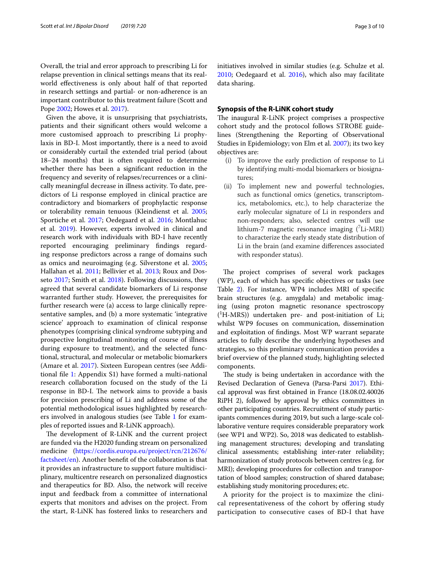Overall, the trial and error approach to prescribing Li for relapse prevention in clinical settings means that its realworld efectiveness is only about half of that reported in research settings and partial- or non-adherence is an important contributor to this treatment failure (Scott and Pope [2002](#page-9-11); Howes et al. [2017](#page-8-5)).

Given the above, it is unsurprising that psychiatrists, patients and their signifcant others would welcome a more customised approach to prescribing Li prophylaxis in BD-I. Most importantly, there is a need to avoid or considerably curtail the extended trial period (about 18–24 months) that is often required to determine whether there has been a signifcant reduction in the frequency and severity of relapses/recurrences or a clinically meaningful decrease in illness activity. To date, predictors of Li response employed in clinical practice are contradictory and biomarkers of prophylactic response or tolerability remain tenuous (Kleindienst et al. [2005](#page-9-12); Sportiche et al. [2017;](#page-9-13) Oedegaard et al. [2016](#page-9-5); Montlahuc et al. [2019](#page-9-14)). However, experts involved in clinical and research work with individuals with BD-I have recently reported encouraging preliminary fndings regarding response predictors across a range of domains such as omics and neuroimaging (e.g. Silverstone et al. [2005](#page-9-15); Hallahan et al. [2011;](#page-8-6) Bellivier et al. [2013](#page-8-7); Roux and Dosseto [2017;](#page-9-16) Smith et al. [2018](#page-9-17)). Following discussions, they agreed that several candidate biomarkers of Li response warranted further study. However, the prerequisites for further research were (a) access to large clinically representative samples, and (b) a more systematic 'integrative science' approach to examination of clinical response phenotypes (comprising clinical syndrome subtyping and prospective longitudinal monitoring of course of illness during exposure to treatment), and the selected functional, structural, and molecular or metabolic biomarkers (Amare et al. [2017\)](#page-8-8). Sixteen European centres (see Additional fle [1:](#page-7-0) Appendix S1) have formed a multi-national research collaboration focused on the study of the Li response in BD-I. The network aims to provide a basis for precision prescribing of Li and address some of the potential methodological issues highlighted by researchers involved in analogous studies (see Table [1](#page-3-0) for examples of reported issues and R-LiNK approach).

The development of R-LiNK and the current project are funded via the H2020 funding stream on personalized medicine ([https://cordis.europa.eu/project/rcn/212676/](https://cordis.europa.eu/project/rcn/212676/factsheet/en) [factsheet/en](https://cordis.europa.eu/project/rcn/212676/factsheet/en)). Another beneft of the collaboration is that it provides an infrastructure to support future multidisciplinary, multicentre research on personalized diagnostics and therapeutics for BD. Also, the network will receive input and feedback from a committee of international experts that monitors and advises on the project. From the start, R-LiNK has fostered links to researchers and initiatives involved in similar studies (e.g. Schulze et al. [2010](#page-9-18); Oedegaard et al. [2016](#page-9-5)), which also may facilitate data sharing.

# **Synopsis of the R‑LiNK cohort study**

The inaugural R-LiNK project comprises a prospective cohort study and the protocol follows STROBE guidelines (Strengthening the Reporting of Observational Studies in Epidemiology; von Elm et al. [2007\)](#page-9-19); its two key objectives are:

- (i) To improve the early prediction of response to Li by identifying multi-modal biomarkers or biosignatures;
- (ii) To implement new and powerful technologies, such as functional omics (genetics, transcriptomics, metabolomics, etc.), to help characterize the early molecular signature of Li in responders and non-responders; also, selected centres will use lithium-7 magnetic resonance imaging  $(^7$ Li-MRI) to characterize the early steady state distribution of Li in the brain (and examine diferences associated with responder status).

The project comprises of several work packages (WP), each of which has specifc objectives or tasks (see Table [2\)](#page-4-0). For instance, WP4 includes MRI of specifc brain structures (e.g. amygdala) and metabolic imaging (using proton magnetic resonance spectroscopy ( 1 H-MRS)) undertaken pre- and post-initiation of Li; whilst WP9 focuses on communication, dissemination and exploitation of fndings. Most WP warrant separate articles to fully describe the underlying hypotheses and strategies, so this preliminary communication provides a brief overview of the planned study, highlighting selected components.

The study is being undertaken in accordance with the Revised Declaration of Geneva (Parsa-Parsi [2017](#page-9-20)). Ethical approval was frst obtained in France (18.08.02.40026 RiPH 2), followed by approval by ethics committees in other participating countries. Recruitment of study participants commences during 2019, but such a large-scale collaborative venture requires considerable preparatory work (see WP1 and WP2). So, 2018 was dedicated to establishing management structures; developing and translating clinical assessments; establishing inter-rater reliability; harmonization of study protocols between centres (e.g. for MRI); developing procedures for collection and transportation of blood samples; construction of shared database; establishing study monitoring procedures; etc.

A priority for the project is to maximize the clinical representativeness of the cohort by ofering study participation to consecutive cases of BD-I that have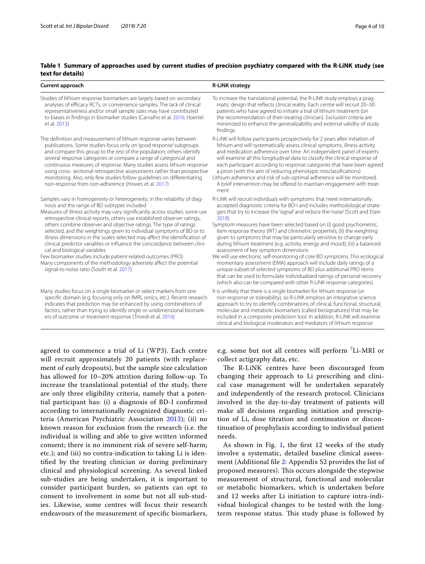# <span id="page-3-0"></span>**Table 1 Summary of approaches used by current studies of precision psychiatry compared with the R-LiNK study (see text for details)**

| Current approach                                                                                                                                                                                                                                                                                                                                                                                                                                                                                                                                                                                                                                                                                                                                                                                                | <b>R-LiNK strategy</b>                                                                                                                                                                                                                                                                                                                                                                                                                                                                                                                                                                                                                                                                                                                                                                                                                                                                                                                                                            |
|-----------------------------------------------------------------------------------------------------------------------------------------------------------------------------------------------------------------------------------------------------------------------------------------------------------------------------------------------------------------------------------------------------------------------------------------------------------------------------------------------------------------------------------------------------------------------------------------------------------------------------------------------------------------------------------------------------------------------------------------------------------------------------------------------------------------|-----------------------------------------------------------------------------------------------------------------------------------------------------------------------------------------------------------------------------------------------------------------------------------------------------------------------------------------------------------------------------------------------------------------------------------------------------------------------------------------------------------------------------------------------------------------------------------------------------------------------------------------------------------------------------------------------------------------------------------------------------------------------------------------------------------------------------------------------------------------------------------------------------------------------------------------------------------------------------------|
| Studies of lithium response biomarkers are largely based on secondary<br>analyses of efficacy RCTs, or convenience samples. The lack of clinical<br>representativeness and/or small sample sizes may have contributed<br>to biases in findings in biomarker studies (Carvalho et al. 2016; Hoertel<br>et al. 2013)                                                                                                                                                                                                                                                                                                                                                                                                                                                                                              | To increase the translational potential, the R-LiNK study employs a prag-<br>matic design that reflects clinical reality. Each centre will recruit 20-30<br>patients who have agreed to initiate a trial of lithium treatment (on<br>the recommendation of their treating clinician). Exclusion criteria are<br>minimized to enhance the generalizability and external validity of study<br>findings                                                                                                                                                                                                                                                                                                                                                                                                                                                                                                                                                                              |
| The definition and measurement of lithium response varies between<br>publications. Some studies focus only on 'good response' subgroups<br>and compare this group to the rest of the population; others identify<br>several response categories or compare a range of categorical and<br>continuous measures of response. Many studies assess lithium response<br>using cross- sectional retrospective assessments rather than prospective<br>monitoring. Also, only few studies follow quidelines on differentiating<br>non-response from non-adherence (Howes et al. 2017).                                                                                                                                                                                                                                   | R-LiNK will follow participants prospectively for 2 years after initiation of<br>lithium and will systematically assess clinical symptoms, illness activity<br>and medication adherence over time. An independent panel of experts<br>will examine all this longitudinal data to classify the clinical response of<br>each participant according to response categories that have been agreed<br>a priori (with the aim of reducing phenotypic misclassifications)<br>Lithium adherence and risk of sub-optimal adherence will be monitored.<br>A brief intervention may be offered to maintain engagement with treat-<br>ment                                                                                                                                                                                                                                                                                                                                                    |
| Samples vary in homogeneity or heterogeneity, in the reliability of diag-<br>nosis and the range of BD subtypes included<br>Measures of illness activity may vary significantly across studies: some use<br>retrospective clinical reports, others use established observer ratings,<br>others combine observer and objective ratings. The type of ratings<br>selected, and the weightings given to individual symptoms of BD or to<br>illness dimensions in the scales selected may affect the identification of<br>clinical predictor variables or influence the concordance between clini-<br>cal and biological variables<br>Few biomarker studies include patient-related outcomes (PRO)<br>Many components of the methodology adversely affect the potential<br>signal-to-noise ratio (South et al. 2017) | R-LINK will recruit individuals with symptoms that meet internationally<br>accepted diagnostic criteria for BD-I and includes methodological strate-<br>gies that try to increase the 'signal' and reduce the 'noise' (Scott and Etain<br>2018)<br>Symptom measures have been selected based on (i) good psychometric,<br>item response theory (IRT) and clinimetric properties; (ii) the weighting<br>given to symptoms that may be particularly sensitive to change early<br>during lithium treatment (e.g. activity, energy and mood); (iii) a balanced<br>assessment of key symptom dimensions<br>We will use electronic self-monitoring of core BD symptoms. This ecological<br>momentary assessment (EMA) approach will include daily ratings of a<br>unique subset of selected symptoms of BD plus additional PRO items<br>that can be used to formulate individualized ratings of personal recovery<br>(which also can be compared with other R-LiNK response categories) |
| Many studies focus on a single biomarker or select markers from one<br>specific domain (e.g. focusing only on fMRI, omics, etc.). Recent research<br>indicates that prediction may be enhanced by using combinations of<br>factors, rather than trying to identify single or unidimensional biomark-<br>ers of outcome or treatment response (Trivedi et al. 2016)                                                                                                                                                                                                                                                                                                                                                                                                                                              | It is unlikely that there is a single biomarker for lithium response (or<br>non-response or tolerability), so R-LiNK employs an integrative science<br>approach to try to identify combinations of clinical, functional, structural,<br>molecular and metabolic biomarkers (called biosignatures) that may be<br>included in a composite prediction tool. In addition, R-LiNK will examine<br>clinical and biological moderators and mediators of lithium response                                                                                                                                                                                                                                                                                                                                                                                                                                                                                                                |

agreed to commence a trial of Li (WP3). Each centre will recruit approximately 20 patients (with replacement of early dropouts), but the sample size calculation has allowed for 10–20% attrition during follow-up. To increase the translational potential of the study, there are only three eligibility criteria, namely that a potential participant has: (i) a diagnosis of BD-I confrmed according to internationally recognized diagnostic criteria (American Psychiatric Association [2013\)](#page-8-9); (ii) no known reason for exclusion from the research (i.e. the individual is willing and able to give written informed consent; there is no imminent risk of severe self-harm; etc.); and (iii) no contra-indication to taking Li is identifed by the treating clinician or during preliminary clinical and physiological screening. As several linked sub-studies are being undertaken, it is important to consider participant burden, so patients can opt to consent to involvement in some but not all sub-studies. Likewise, some centres will focus their research endeavours of the measurement of specifc biomarkers,

e.g. some but not all centres will perform <sup>7</sup>Li-MRI or collect actigraphy data, etc.

The R-LiNK centres have been discouraged from changing their approach to Li prescribing and clinical case management will be undertaken separately and independently of the research protocol. Clinicians involved in the day-to-day treatment of patients will make all decisions regarding initiation and prescription of Li, dose titration and continuation or discontinuation of prophylaxis according to individual patient needs.

As shown in Fig. [1,](#page-5-0) the first  $12$  weeks of the study involve a systematic, detailed baseline clinical assessment (Additional fle [2:](#page-7-1) Appendix S2 provides the list of proposed measures). This occurs alongside the stepwise measurement of structural, functional and molecular or metabolic biomarkers, which is undertaken before and 12 weeks after Li initiation to capture intra-individual biological changes to be tested with the longterm response status. This study phase is followed by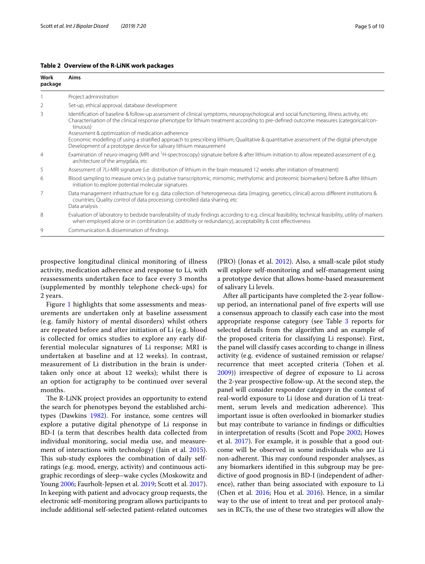| Work<br>package | Aims                                                                                                                                                                                                                                                                                                                                               |
|-----------------|----------------------------------------------------------------------------------------------------------------------------------------------------------------------------------------------------------------------------------------------------------------------------------------------------------------------------------------------------|
|                 | Project administration                                                                                                                                                                                                                                                                                                                             |
|                 | Set-up, ethical approval, database development                                                                                                                                                                                                                                                                                                     |
| 3               | Identification of baseline & follow-up assessment of clinical symptoms, neuropsychological and social functioning, illness activity, etc<br>Characterisation of the clinical response phenotype for lithium treatment according to pre-defined outcome measures (categorical/con-<br>tinuous)<br>Assessment & optimization of medication adherence |
|                 | Economic modelling of using a stratified approach to prescribing lithium; Qualitative & quantitative assessment of the digital phenotype<br>Development of a prototype device for salivary lithium measurement                                                                                                                                     |
| $\overline{4}$  | Examination of neuro-imaging (MRI and <sup>1</sup> H-spectroscopy) signature before & after lithium initiation to allow repeated assessment of e.g.<br>architecture of the amygdala, etc                                                                                                                                                           |
| 5               | Assessment of 7Li-MRI signature (i.e. distribution of lithium in the brain measured 12 weeks after initiation of treatment)                                                                                                                                                                                                                        |
| 6               | Blood sampling to measure omics (e.g. putative transcriptomic, mirnomic, methylomic and proteomic biomarkers) before & after lithium<br>initiation to explore potential molecular signatures                                                                                                                                                       |
| 7               | Data management infrastructure for e.g. data collection of heterogeneous data (imaging, genetics, clinical) across different institutions &<br>countries; Quality control of data processing; controlled data sharing; etc.<br>Data analysis                                                                                                       |
| 8               | Evaluation of laboratory to bedside transferability of study findings according to e.g. clinical feasibility, technical feasibility, utility of markers<br>when employed alone or in combination (i.e. additivity or redundancy), acceptability & cost effectiveness                                                                               |
| 9               | Communication & dissemination of findings                                                                                                                                                                                                                                                                                                          |

## <span id="page-4-0"></span>**Table 2 Overview of the R-LiNK work packages**

prospective longitudinal clinical monitoring of illness activity, medication adherence and response to Li, with reassessments undertaken face to face every 3 months (supplemented by monthly telephone check-ups) for 2 years.

Figure [1](#page-5-0) highlights that some assessments and measurements are undertaken only at baseline assessment (e.g. family history of mental disorders) whilst others are repeated before and after initiation of Li (e.g. blood is collected for omics studies to explore any early differential molecular signatures of Li response; MRI is undertaken at baseline and at 12 weeks). In contrast, measurement of Li distribution in the brain is undertaken only once at about 12 weeks); whilst there is an option for actigraphy to be continued over several months.

The R-LiNK project provides an opportunity to extend the search for phenotypes beyond the established architypes (Dawkins [1982\)](#page-8-12). For instance, some centres will explore a putative digital phenotype of Li response in BD-I (a term that describes health data collected from individual monitoring, social media use, and measurement of interactions with technology) (Jain et al. [2015](#page-8-13)). This sub-study explores the combination of daily selfratings (e.g. mood, energy, activity) and continuous actigraphic recordings of sleep–wake cycles (Moskowitz and Young [2006](#page-9-22); Faurholt-Jepsen et al. [2019;](#page-8-14) Scott et al. [2017](#page-9-23)). In keeping with patient and advocacy group requests, the electronic self-monitoring program allows participants to include additional self-selected patient-related outcomes (PRO) (Jonas et al. [2012\)](#page-8-15). Also, a small-scale pilot study will explore self-monitoring and self-management using a prototype device that allows home-based measurement of salivary Li levels.

After all participants have completed the 2-year followup period, an international panel of fve experts will use a consensus approach to classify each case into the most appropriate response category (see Table [3](#page-6-0) reports for selected details from the algorithm and an example of the proposed criteria for classifying Li response). First, the panel will classify cases according to change in illness activity (e.g. evidence of sustained remission or relapse/ recurrence that meet accepted criteria (Tohen et al. [2009](#page-9-24))) irrespective of degree of exposure to Li across the 2-year prospective follow-up. At the second step, the panel will consider responder category in the context of real-world exposure to Li (dose and duration of Li treatment, serum levels and medication adherence). This important issue is often overlooked in biomarker studies but may contribute to variance in findings or difficulties in interpretation of results (Scott and Pope [2002](#page-9-11); Howes et al. [2017](#page-8-5)). For example, it is possible that a good outcome will be observed in some individuals who are Li non-adherent. This may confound responder analyses, as any biomarkers identifed in this subgroup may be predictive of good prognosis in BD-I (independent of adherence), rather than being associated with exposure to Li (Chen et al. [2016;](#page-8-16) Hou et al. [2016](#page-8-17)). Hence, in a similar way to the use of intent to treat and per protocol analyses in RCTs, the use of these two strategies will allow the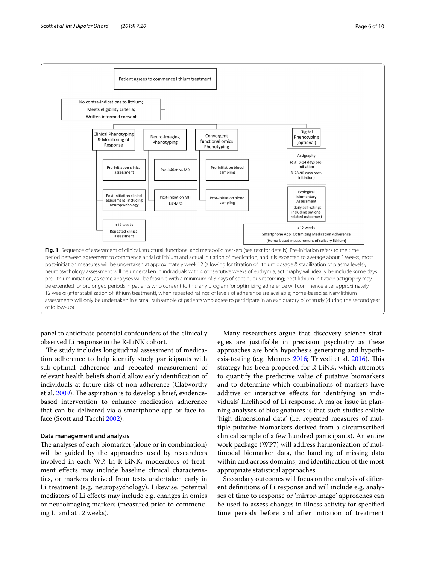

<span id="page-5-0"></span>panel to anticipate potential confounders of the clinically observed Li response in the R-LiNK cohort.

The study includes longitudinal assessment of medication adherence to help identify study participants with sub-optimal adherence and repeated measurement of relevant health beliefs should allow early identifcation of individuals at future risk of non-adherence (Clatworthy et al. [2009](#page-8-18)). The aspiration is to develop a brief, evidencebased intervention to enhance medication adherence that can be delivered via a smartphone app or face-toface (Scott and Tacchi [2002](#page-9-25)).

#### **Data management and analysis**

The analyses of each biomarker (alone or in combination) will be guided by the approaches used by researchers involved in each WP. In R-LiNK, moderators of treatment efects may include baseline clinical characteristics, or markers derived from tests undertaken early in Li treatment (e.g. neuropsychology). Likewise, potential mediators of Li efects may include e.g. changes in omics or neuroimaging markers (measured prior to commencing Li and at 12 weeks).

Many researchers argue that discovery science strategies are justifable in precision psychiatry as these approaches are both hypothesis generating and hypoth-esis-testing (e.g. Mennes [2016](#page-9-3); Trivedi et al. 2016). This strategy has been proposed for R-LiNK, which attempts to quantify the predictive value of putative biomarkers and to determine which combinations of markers have additive or interactive efects for identifying an individuals' likelihood of Li response. A major issue in planning analyses of biosignatures is that such studies collate 'high dimensional data' (i.e. repeated measures of multiple putative biomarkers derived from a circumscribed clinical sample of a few hundred participants). An entire work package (WP7) will address harmonization of multimodal biomarker data, the handling of missing data within and across domains, and identifcation of the most appropriate statistical approaches.

Secondary outcomes will focus on the analysis of diferent defnitions of Li response and will include e.g. analyses of time to response or 'mirror-image' approaches can be used to assess changes in illness activity for specifed time periods before and after initiation of treatment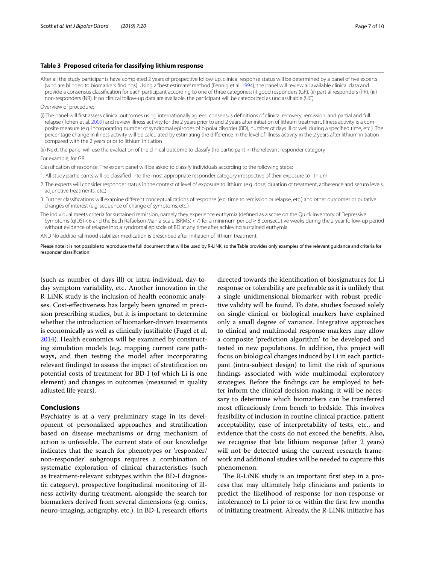#### <span id="page-6-0"></span>**Table 3 Proposed criteria for classifying lithium response**

After all the study participants have completed 2 years of prospective follow-up, clinical response status will be determined by a panel of fve experts (who are blinded to biomarkers fndings). Using a "best estimate" method (Fennig et al. [1994](#page-8-20)), the panel will review all available clinical data and provide a consensus classification for each participant according to one of three categories: (i) good responders (GR), (ii) partial responders (PR), (iii) non-responders (NR). If no clinical follow-up data are available, the participant will be categorized as unclassifable (UC)

Overview of procedure:

(i) The panel will frst assess clinical outcomes using internationally agreed consensus defnitions of clinical recovery, remission, and partial and full relapse (Tohen et al. [2009\)](#page-9-24) and review illness activity for the 2 years prior to and 2 years after initiation of lithium treatment. Illness activity is a composite measure (e.g. incorporating number of syndromal episodes of bipolar disorder (BD), number of days ill or well during a specifed time, etc.). The percentage change in illness activity will be calculated by estimating the diference in the level of illness activity in the 2 years after lithium initiation compared with the 2 years prior to lithium initiation

(ii) Next, the panel will use the evaluation of the clinical outcome to classify the participant in the relevant responder category For example, for GR:

Classifcation of response: The expert panel will be asked to classify individuals according to the following steps:

- 1. All study participants will be classifed into the most appropriate responder category irrespective of their exposure to lithium
- 2. The experts will consider responder status in the context of level of exposure to lithium (e.g. dose, duration of treatment, adherence and serum levels, adjunctive treatments, etc.)
- 3. Further classifcations will examine diferent conceptualizations of response (e.g. time to remission or relapse, etc.) and other outcomes or putative changes of interest (e.g. sequence of change of symptoms, etc.)
- The individual meets criteria for sustained remission, namely they experience euthymia (defned as a score on the Quick Inventory of Depressive Symptoms (qIDS) <6 and the Bech Rafaelson Mania Scale (BRMS) <7) for a minimum period ≥8 consecutive weeks during the 2-year follow-up period without evidence of relapse into a syndromal episode of BD at any time after achieving sustained euthymia

AND No additional mood stabilizer medication is prescribed after initiation of lithium treatment

Please note it is not possible to reproduce the full document that will be used by R-LiNK, so the Table provides only examples of the relevant quidance and criteria for responder classifcation

(such as number of days ill) or intra-individual, day-today symptom variability, etc. Another innovation in the R-LiNK study is the inclusion of health economic analyses. Cost-efectiveness has largely been ignored in precision prescribing studies, but it is important to determine whether the introduction of biomarker-driven treatments is economically as well as clinically justifable (Fugel et al. [2014](#page-8-19)). Health economics will be examined by constructing simulation models (e.g. mapping current care pathways, and then testing the model after incorporating relevant fndings) to assess the impact of stratifcation on potential costs of treatment for BD-I (of which Li is one element) and changes in outcomes (measured in quality adjusted life years).

## **Conclusions**

Psychiatry is at a very preliminary stage in its development of personalized approaches and stratifcation based on disease mechanisms or drug mechanism of action is unfeasible. The current state of our knowledge indicates that the search for phenotypes or 'responder/ non-responder' subgroups requires a combination of systematic exploration of clinical characteristics (such as treatment-relevant subtypes within the BD-I diagnostic category), prospective longitudinal monitoring of illness activity during treatment, alongside the search for biomarkers derived from several dimensions (e.g. omics, neuro-imaging, actigraphy, etc.). In BD-I, research eforts

directed towards the identifcation of biosignatures for Li response or tolerability are preferable as it is unlikely that a single unidimensional biomarker with robust predictive validity will be found. To date, studies focused solely on single clinical or biological markers have explained only a small degree of variance. Integrative approaches to clinical and multimodal response markers may allow a composite 'prediction algorithm' to be developed and tested in new populations. In addition, this project will focus on biological changes induced by Li in each participant (intra-subject design) to limit the risk of spurious fndings associated with wide multimodal exploratory strategies. Before the fndings can be employed to better inform the clinical decision-making, it will be necessary to determine which biomarkers can be transferred most efficaciously from bench to bedside. This involves feasibility of inclusion in routine clinical practice, patient acceptability, ease of interpretability of tests, etc., and evidence that the costs do not exceed the benefts. Also, we recognise that late lithium response (after 2 years) will not be detected using the current research framework and additional studies will be needed to capture this phenomenon.

The R-LiNK study is an important first step in a process that may ultimately help clinicians and patients to predict the likelihood of response (or non-response or intolerance) to Li prior to or within the frst few months of initiating treatment. Already, the R-LINK initiative has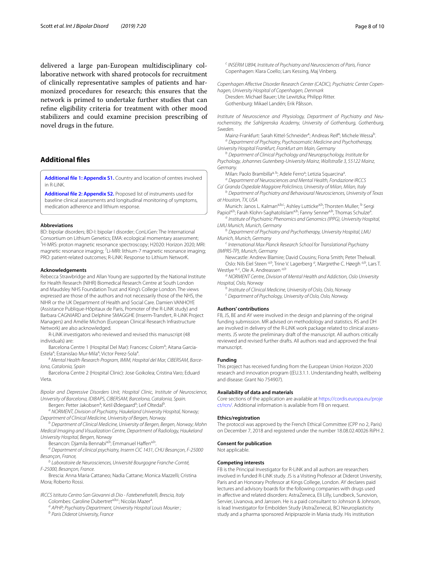delivered a large pan-European multidisciplinary collaborative network with shared protocols for recruitment of clinically representative samples of patients and harmonized procedures for research; this ensures that the network is primed to undertake further studies that can refne eligibility criteria for treatment with other mood stabilizers and could examine precision prescribing of novel drugs in the future.

# **Additional fles**

<span id="page-7-1"></span><span id="page-7-0"></span>**[Additional fle 1: Appendix S1.](https://doi.org/10.1186/s40345-019-0156-x)** Country and location of centres involved in R-LiNK.

**[Additional fle 2: Appendix S2.](https://doi.org/10.1186/s40345-019-0156-x)** Proposed list of instruments used for baseline clinical assessments and longitudinal monitoring of symptoms, medication adherence and lithium response.

#### **Abbreviations**

BD: bipolar disorders; BD-I: bipolar I disorder; ConLiGen: The International Consortium on Lithium Genetics; EMA: ecological momentary assessment; <sup>1</sup>H-MRS: proton magnetic resonance spectroscopy; H2020: Horizon 2020; MRI: magnetic resonance imaging; <sup>7</sup>Li-MRI: lithium-7 magnetic resonance imaging; PRO: patient-related outcomes; R-LiNK: Response to Lithium NetworK.

#### **Acknowledgements**

Rebecca Strawbridge and Allan Young are supported by the National Institute for Health Research (NIHR) Biomedical Research Centre at South London and Maudsley NHS Foundation Trust and King's College London. The views expressed are those of the authors and not necessarily those of the NHS, the NIHR or the UK Department of Health and Social Care. Damien VANHOYE (Assistance Publique-Hôpitaux de Paris, Promoter of the R-LiNK study) and Barbara CAGNIARD and Delphine SMAGGHE (Inserm-Transfert, R-LiNK Project Managers) and Amélie Michon (European Clinical Research Infrastructure Network) are also acknowledged.

R-LiNK investigators who reviewed and revised this manuscript (48 individuals) are:

Barcelona Centre 1 (Hospital Del Mar): Francesc Colom<sup>a</sup>; Aitana Garcia-Estela<sup>a</sup>; Estanislao Mur-Mila<sup>a</sup>; Victor Perez-Sola<sup>a</sup> .

a Mental Health Research Program, IMIM, Hospital del Mar, CIBERSAM, Barce*lona, Catalonia, Spain*

Barcelona Centre 2 (Hospital Clinic): Jose Goikolea; Cristina Varo; Eduard Vieta.

*Bipolar and Depressive Disorders Unit, Hospital Clinic, Institute of Neuroscience, University of Barcelona, IDIBAPS, CIBERSAM, Barcelona, Catalonia, Spain.*

Bergen: Petter Jakobsen<sup>a</sup>; Ketil Ødegaard<sup>a</sup>; Leif Oltedal<sup>b</sup> .

*<sup>a</sup> NORMENT, Division of Psychiatry, Haukeland University Hospital, Norway; Department of Clinical Medicine, University of Bergen, Norway.*

*<sup>b</sup> Department of Clinical Medicine, University of Bergen, Bergen, Norway; Mohn Medical Imaging and Visualization Centre, Department of Radiology, Haukeland University Hospital, Bergen, Norway*

Besancon: Djamila Bennabia,b; Emmanuel Haffena,b,

*<sup>a</sup> Department of clinical psychiatry, Inserm CIC 1431, CHU Besançon, F-25000 Besançon, France,*

*<sup>b</sup> Laboratoire de Neurosciences, Université Bourgogne Franche-Comté, F-25000, Besançon, France.*

Brescia: Anna Maria Cattaneo; Nadia Cattane; Monica Mazzelli; Cristina Mora; Roberto Rossi.

*IRCCS Istituto Centro San Giovanni di Dio - Fatebenefratelli, Brescia, Italy* Colombes: Caroline Dubertret<sup>a,b,c</sup>; Nicolas Mazer<sup>a</sup>. .

*<sup>a</sup> APHP; Psychiatry Department, University Hospital Louis Mourier ;*

*<sup>b</sup> Paris Diderot University, France*

*<sup>c</sup> INSERM U894, Institute of Psychiatry and Neurosciences of Paris, France* Copenhagen: Klara Coello; Lars Kessing, Maj Vinberg.

*Copenhagen Affective Disorder Research Center (CADIC), Psychiatric Center Copenhagen, University Hospital of Copenhagen, Denmark*

Dresden: Michael Bauer; Ute Lewitzka; Philipp Ritter. Gothenburg: Mikael Landén; Erik Pålsson.

*Institute of Neuroscience and Physiology, Department of Psychiatry and Neurochemistry, the Sahlgrenska Academy, University of Gothenburg, Gothenburg, Sweden.*

Mainz-Frankfurt: Sarah Kittel-Schneider<sup>a</sup>; Andreas Reif<sup>a</sup>; Michele Wessa<sup>b</sup> *<sup>a</sup> Department of Psychiatry, Psychosomatic Medicine and Psychotherapy,* 

*University Hospital Frankfurt, Frankfurt am Main, Germany <sup>b</sup> Department of Clinical Psychology and Neuropsychology, Institute for Psychology, Johannes Gutenberg-University Mainz, Wallstraße 3, 55122 Mainz,* 

*Germany.* Milan: Paolo Brambilla<sup>a, b</sup>; Adele Ferro<sup>a</sup>; Letizia Squarcina<sup>a</sup> .

*<sup>a</sup> Department of Neurosciences and Mental Health, Fondazione IRCCS Ca' Granda Ospedale Maggiore Policlinico, University of Milan, Milan, Italy*

*<sup>b</sup> Department of Psychiatry and Behavioural Neurosciences, University of Texas at Houston, TX, USA*

Munich: Janos L. Kalman<sup>a,b,c</sup>; Ashley Lutticke<sup>a,b</sup>; Thorsten Muller; <sup>b</sup> Sergi Papiola,b; Farah Klohn-Saghatolislam<sup>a,b</sup>; Fanny Senner<sup>a,b</sup>, Thomas Schulze<sup>a</sup>.

*<sup>a</sup> Institute of Psychiatric Phenomics and Genomics (IPPG), University Hospital, LMU Munich, Munich, Germany*

*<sup>b</sup> Department of Psychiatry and Psychotherapy, University Hospital, LMU Munich, Munich, Germany*

*<sup>c</sup> International Max Planck Research School for Translational Psychiatry (IMPRS-TP), Munich, Germany*

Newcastle: Andrew Blamire; David Cousins; Fiona Smith; Peter Thelwall. Oslo: Nils Eiel Steen<sup>a,b</sup>, Trine V. Lagerberg<sup>a</sup>, Margrethe C. Høegh<sup>a,b</sup>, Lars T. Westlye *a, c*, Ole A. Andreassen *a,b*

*<sup>a</sup> NORMENT Centre, Division of Mental Health and Addiction, Oslo University Hospital, Oslo, Norway*

*<sup>b</sup> Institute of Clinical Medicine, University of Oslo, Oslo, Norway*

*<sup>c</sup> Department of Psychology, University of Oslo, Oslo, Norway.*

#### **Authors' contributions**

FB, JS, BE and AY were involved in the design and planning of the original funding submission. MR advised on methodology and statistics. RS and DH are involved in delivery of the R-LiNK work package related to clinical assessments. JS wrote the preliminary draft of the manuscript. All authors critically reviewed and revised further drafts. All authors read and approved the fnal manuscript.

#### **Funding**

This project has received funding from the European Union Horizon 2020 research and innovation program ((EU.3.1.1. Understanding health, wellbeing and disease: Grant No 754907).

#### **Availability of data and materials**

Core sections of the application are available at [https://cordis.europa.eu/proje](https://cordis.europa.eu/project/rcn/) [ct/rcn/](https://cordis.europa.eu/project/rcn/). Additional information is available from FB on request.

#### **Ethics/registration**

The protocol was approved by the French Ethical Committee (CPP no 2, Paris) on December 7, 2018 and registered under the number 18.08.02.40026 RiPH 2.

#### **Consent for publication**

Not applicable.

#### **Competing interests**

FB is the Principal Investigator for R-LiNK and all authors are researchers involved in funded R-LiNK study. JS is a Visiting Professor at Diderot University, Paris and an Honorary Professor at Kings College, London. AY declares paid lectures and advisory boards for the following companies with drugs used in afective and related disorders: AstraZeneca, Eli Lilly, Lundbeck, Sunovion, Servier, Livanova, and Janssen. He is a paid consultant to Johnson & Johnson, is lead Investigator for Embolden Study (AstraZeneca), BCI Neuroplasticity study and a pharma sponsored Aripiprazole in Mania study. His institution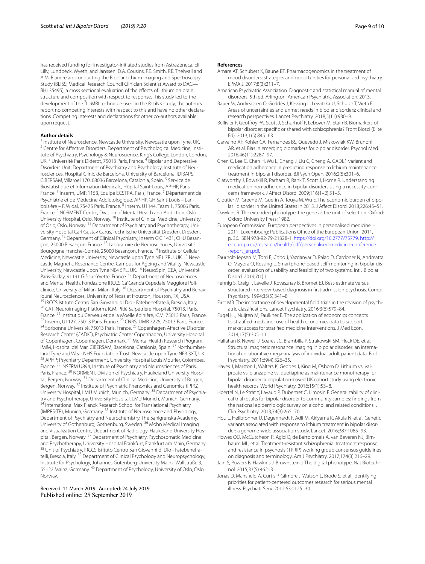has received funding for investigator-initiated studies from AstraZeneca, Eli Lilly, Lundbeck, Wyeth, and Janssen. D.A. Cousins, F.E. Smith, P.E. Thelwall and A.M. Blamire are conducting the Bipolar Lithium Imaging and Spectroscopy Study (BLISS; Medical Research Council Clinician Scientist Award to DAC— BH135495), a cross sectional evaluation of the effects of lithium on brain structure and composition with respect to response. This study led to the development of the <sup>7</sup>Li-MRI technique used in the R-LiNK study; the authors report no competing interests with respect to this and have no other declarations. Competing interests and declarations for other co-authors available upon request.

#### **Author details**

<sup>1</sup> Institute of Neuroscience, Newcastle University, Newcastle upon Tyne, UK.  $^2$  Centre for Affective Disorders, Department of Psychological Medicine, Institute of Psychiatry, Psychology & Neuroscience, King's College London, London, UK.<sup>3</sup> Université Paris Diderot, 75013 Paris, France.<sup>4</sup> Bipolar and Depressive Disorders Unit, Department of Psychiatry and Psychology, Institute of Neurosciences, Hospital Clinic de Barcelona, University of Barcelona, IDIBAPS, CIBERSAM, Villaroel 170, 08036 Barcelona, Catalonia, Spain. 5 Service de Biostatistique et Information Médicale, Hôpital Saint-Louis, AP-HP, Paris, France. <sup>6</sup> Inserm, UMR 1153, Equipe ECSTRA, Paris, France.<sup>7</sup> Département de Psychiatrie et de Médecine Addictologique, AP-HP, GH Saint-Louis – Lariboisière – F. Widal, 75475 Paris, France. <sup>8</sup> Inserm, U1144, Team 1, 75006 Paris, France. 9 NORMENT Centre, Division of Mental Health and Addiction, Oslo University Hospital, Oslo, Norway. <sup>10</sup> Institute of Clinical Medicine, University of Oslo, Oslo, Norway.<sup>11</sup> Department of Psychiatry and Psychotherapy, University Hospital Carl Gustav Carus, Technische Universität Dresden, Dresden, Germany. <sup>12</sup> Department of Clinical Psychiatry, Inserm CIC 1431, CHU Besançon, 25000 Besançon, France. 13 Laboratoire de Neurosciences, Université Bourgogne Franche-Comté, 25000 Besançon, France. 14 Institute of Cellular Medicine, Newcastle University, Newcastle upon Tyne NE1 7RU, UK.<sup>15</sup> Newcastle Magnetic Resonance Centre, Campus for Ageing and Vitality, Newcastle University, Newcastle upon Tyne NE4 5PL, UK. <sup>16</sup> NeuroSpin, CEA, Université Paris-Saclay, 91191 Gif-sur-Yvette, France.<sup>17</sup> Department of Neurosciences and Mental Health, Fondazione IRCCS Ca' Granda Ospedale Maggiore Policlinico, University of Milan, Milan, Italy. <sup>18</sup> Department of Psychiatry and Behavioural Neurosciences, University of Texas at Houston, Houston, TX, USA.<br><sup>19</sup> IRCCS Istituto Centro San Giovanni di Dio - Fatebenefratelli, Brescia, Italy.<br><sup>20</sup> CATI Neuroimaging Platform, ICM, Pitié Salpétrière Hospital, 7 <sup>22</sup> Inserm, U1127, 75013 Paris, France. <sup>23</sup> CNRS, UMR 7225, 75013 Paris, France.<br><sup>24</sup> Sorbonne Université, 75013 Paris, France. <sup>25</sup> Copenhagen Affective Disorder Research Center (CADIC), Psychiatric Center Copenhagen, University Hospital of Copenhagen, Copenhagen, Denmark. 26 Mental Health Research Program, IMIM, Hospital del Mar, CIBERSAM, Barcelona, Catalonia, Spain. <sup>27</sup> Northumberland Tyne and Wear NHS Foundation Trust, Newcastle upon Tyne NE3 3XT, UK.<br><sup>28</sup> APHP; Psychiatry Department, University Hospital Louis Mourier, Colombes, France.<sup>29</sup> INSERM U894, Institute of Psychiatry and Neurosciences of Paris, Paris, France. <sup>30</sup> NORMENT, Division of Psychiatry, Haukeland University Hospital, Bergen, Norway. 31 Department of Clinical Medicine, University of Bergen, Bergen, Norway. <sup>32</sup> Institute of Psychiatric Phenomics and Genomics (IPPG), University Hospital, LMU Munich, Munich, Germany.<sup>33</sup> Department of Psychiatry and Psychotherapy, University Hospital, LMU Munich, Munich, Germany.<br><sup>34</sup> International Max Planck Research School for Translational Psychiatry (IMPRS-TP), Munich, Germany. 35 Institute of Neuroscience and Physiology, Department of Psychiatry and Neurochemistry, The Sahlgrenska Academy, University of Gothenburg, Gothenburg, Sweden. 36 Mohn Medical Imaging and Visualization Centre, Department of Radiology, Haukeland University Hospital, Bergen, Norway. 37 Department of Psychiatry, Psychosomatic Medicine and Psychotherapy, University Hospital Frankfurt, Frankfurt am Main, Germany.<br><sup>38</sup> Unit of Psychiatry, IRCCS Istituto Centro San Giovanni di Dio - Fatebenefratelli, Brescia, Italy.<sup>39</sup> Department of Clinical Psychology and Neuropsychology, Institute for Psychology, Johannes Gutenberg-University Mainz, Wallstraße 3, 55122 Mainz, Germany. 40 Department of Psychology, University of Oslo, Oslo, Norway.

Received: 11 March 2019 Accepted: 24 July 2019 Published online: 25 September 2019

#### **References**

- <span id="page-8-8"></span>Amare AT, Schubert K, Baune BT. Pharmacogenomics in the treatment of mood disorders: strategies and opportunities for personalized psychiatry. EPMA J. 2017;8(3):211–7.
- <span id="page-8-9"></span>American Psychiatric Association. Diagnostic and statistical manual of mental disorders. 5th ed. Arlington: American Psychiatric Association; 2013.
- <span id="page-8-3"></span>Bauer M, Andreassen O, Geddes J, Kessing L, Lewitzka U, Schulze T, Vieta E. Areas of uncertainties and unmet needs in bipolar disorders: clinical and research perspectives. Lancet Psychiatry. 2018;5(11):930–9.
- <span id="page-8-7"></span>Bellivier F, Geoffroy PA, Scott J, Schurhoff F, Leboyer M, Etain B. Biomarkers of bipolar disorder: specifc or shared with schizophrenia? Front Biosci (Elite Ed). 2013;1(5):845–63.
- <span id="page-8-10"></span>Carvalho AF, Kohler CA, Fernandes BS, Quevedo J, Miskowiak KW, Brunoni AR, et al. Bias in emerging biomarkers for bipolar disorder. Psychol Med. 2016;46(11):2287–97.
- <span id="page-8-16"></span>Chen C, Lee C, Chen H, Wu L, Chang J, Liu C, Cheng A. GADL1 variant and medication adherence in predicting response to lithium maintenance treatment in bipolar I disorder. BJPsych Open. 2016;2(5):301–6.
- <span id="page-8-18"></span>Clatworthy J, Bowskill R, Parham R, Rank T, Scott J, Horne R. Understanding medication non-adherence in bipolar disorders using a necessity-concerns framework. J Afect Disord. 2009;116(1–2):51–5.
- <span id="page-8-2"></span>Cloutier M, Greene M, Guerin A, Touya M, Wu E. The economic burden of bipolar I disorder in the United States in 2015. J Afect Disord. 2018;226:45–51.
- <span id="page-8-12"></span>Dawkins R. The extended phenotype: the gene as the unit of selection. Oxford: Oxford University Press; 1982.
- <span id="page-8-0"></span>European Commission. European perspectives in personalised medicine. – 2011. Luxembourg: Publications Office of the European Union. 2011, p. 36. ISBN 978-92-79-21328-1. [https://doi.org/10.2777/75779.](https://doi.org/10.2777/75779) [http://](http://ec.europa.eu/research/health/pdf/personalised-medicine-conference-report_en.pdf) [ec.europa.eu/research/health/pdf/personalised-medicine-conference](http://ec.europa.eu/research/health/pdf/personalised-medicine-conference-report_en.pdf) [-report\\_en.pdf](http://ec.europa.eu/research/health/pdf/personalised-medicine-conference-report_en.pdf).
- <span id="page-8-14"></span>Faurholt-Jepsen M, Torri E, Cobo J, Yazdanyar D, Palao D, Cardoner N, Andreatta O, Mayora O, Kessing L. Smartphone-based self-monitoring in bipolar dis‑ order: evaluation of usability and feasibility of two systems. Int J Bipolar Disord. 2019;7(1):1.
- <span id="page-8-20"></span>Fennig S, Craig T, Lavelle J, Kovasznay B, Bromet EJ. Best-estimate versus structured interview-based diagnosis in frst-admission psychosis. Compr Psychiatry. 1994;35(5):341–8.
- <span id="page-8-1"></span>First MB. The importance of developmental field trials in the revision of psychiatric classifcations. Lancet Psychiatry. 2016;3(6):579–84.
- <span id="page-8-19"></span>Fugel HJ, Nuijten M, Faulkner E. The application of economics concepts to stratifed medicine–use of health economics data to support market access for stratifed medicine interventions. J Med Econ. 2014;17(5):305–11.
- <span id="page-8-6"></span>Hallahan B, Newell J, Soares JC, Brambilla P, Strakowski SM, Fleck DE, et al. Structural magnetic resonance imaging in bipolar disorder: an international collaborative mega-analysis of individual adult patient data. Biol Psychiatry. 2011;69(4):326–35.
- <span id="page-8-4"></span>Hayes J, Marston L, Walters K, Geddes J, King M, Osborn D. Lithium vs. valproate vs. olanzapine vs. quetiapine as maintenance monotherapy for bipolar disorder: a population-based UK cohort study using electronic health records. World Psychiatry. 2016;15(1):53–8.
- <span id="page-8-11"></span>Hoertel N, Le Strat Y, Lavaud P, Dubertret C, Limosin F. Generalizability of clinical trial results for bipolar disorder to community samples: fndings from the national epidemiologic survey on alcohol and related conditions. J Clin Psychiatry. 2013;74(3):265–70.
- <span id="page-8-17"></span>Hou L, Heilbronner U, Degenhardt F, Adli M, Akiyama K, Akula N, et al. Genetic variants associated with response to lithium treatment in bipolar disorder: a genome-wide association study. Lancet. 2016;387:1085–93.
- <span id="page-8-5"></span>Howes OD, McCutcheon R, Agid O, de Bartolomeis A, van Beveren NJ, Birnbaum ML, et al. Treatment-resistant schizophrenia: treatment response and resistance in psychosis (TRRIP) working group consensus guidelines on diagnosis and terminology. Am J Psychiatry. 2017;174(3):216–29.
- <span id="page-8-13"></span>Jain S, Powers B, Hawkins J, Brownstein J. The digital phenotype. Nat Biotechnol. 2015;33(5):462–3.
- <span id="page-8-15"></span>Jonas D, Mansfeld A, Curtis P, Gilmore J, Watson L, Brode S, et al. Identifying priorities for patient-centered outcomes research for serious mental illness. Psychiatr Serv. 2012;63:1125–30.